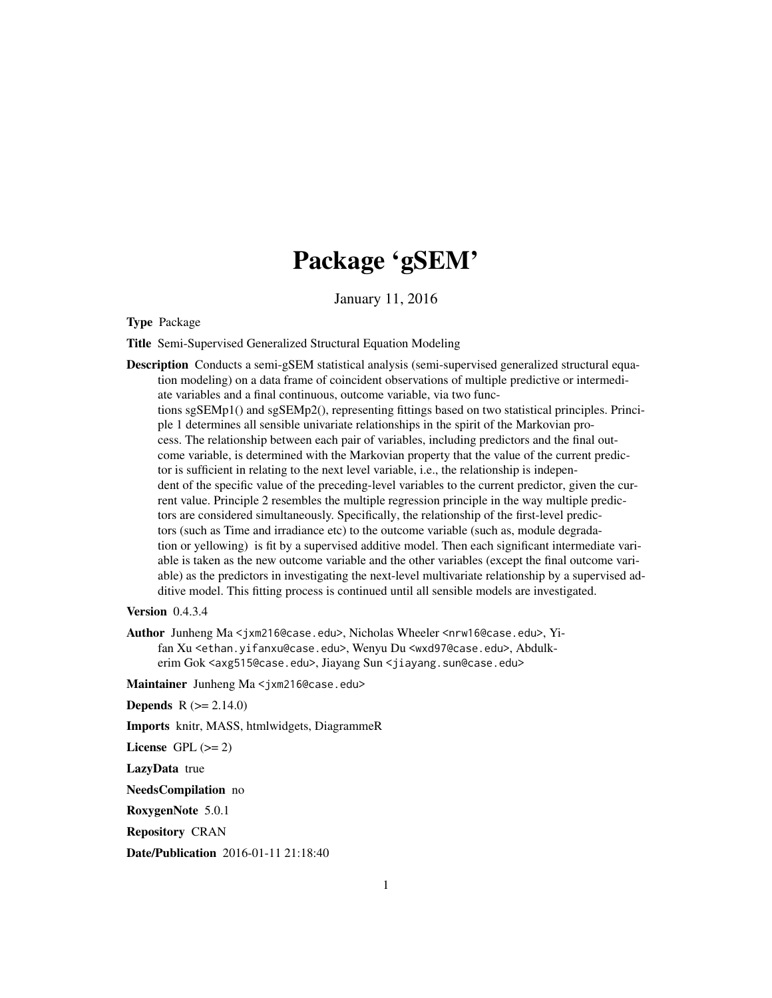## Package 'gSEM'

January 11, 2016

Type Package

Title Semi-Supervised Generalized Structural Equation Modeling

Description Conducts a semi-gSEM statistical analysis (semi-supervised generalized structural equation modeling) on a data frame of coincident observations of multiple predictive or intermediate variables and a final continuous, outcome variable, via two functions sgSEMp1() and sgSEMp2(), representing fittings based on two statistical principles. Principle 1 determines all sensible univariate relationships in the spirit of the Markovian process. The relationship between each pair of variables, including predictors and the final outcome variable, is determined with the Markovian property that the value of the current predictor is sufficient in relating to the next level variable, i.e., the relationship is independent of the specific value of the preceding-level variables to the current predictor, given the current value. Principle 2 resembles the multiple regression principle in the way multiple predictors are considered simultaneously. Specifically, the relationship of the first-level predictors (such as Time and irradiance etc) to the outcome variable (such as, module degradation or yellowing) is fit by a supervised additive model. Then each significant intermediate variable is taken as the new outcome variable and the other variables (except the final outcome variable) as the predictors in investigating the next-level multivariate relationship by a supervised additive model. This fitting process is continued until all sensible models are investigated.

Version 0.4.3.4

Author Junheng Ma <jxm216@case.edu>, Nicholas Wheeler <nrw16@case.edu>, Yifan Xu <ethan.yifanxu@case.edu>, Wenyu Du <wxd97@case.edu>, Abdulkerim Gok <axg515@case.edu>, Jiayang Sun <jiayang.sun@case.edu>

Maintainer Junheng Ma <jxm216@case.edu>

**Depends**  $R (= 2.14.0)$ 

Imports knitr, MASS, htmlwidgets, DiagrammeR

License GPL  $(>= 2)$ 

LazyData true

NeedsCompilation no

RoxygenNote 5.0.1

Repository CRAN

Date/Publication 2016-01-11 21:18:40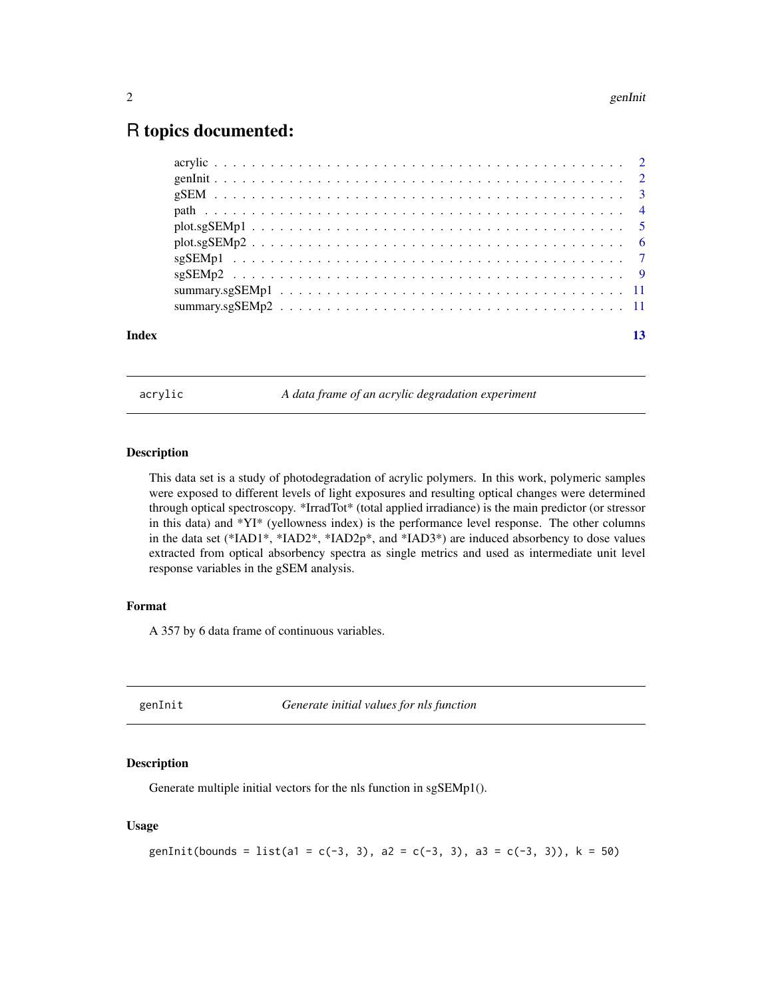## <span id="page-1-0"></span>R topics documented:

| Index |  |  |  |  |  |  |  |  |  |  |  |  |  |  |  |  |
|-------|--|--|--|--|--|--|--|--|--|--|--|--|--|--|--|--|

acrylic *A data frame of an acrylic degradation experiment*

## Description

This data set is a study of photodegradation of acrylic polymers. In this work, polymeric samples were exposed to different levels of light exposures and resulting optical changes were determined through optical spectroscopy. \*IrradTot\* (total applied irradiance) is the main predictor (or stressor in this data) and \*YI\* (yellowness index) is the performance level response. The other columns in the data set (\*IAD1\*, \*IAD2\*, \*IAD2p\*, and \*IAD3\*) are induced absorbency to dose values extracted from optical absorbency spectra as single metrics and used as intermediate unit level response variables in the gSEM analysis.

## Format

A 357 by 6 data frame of continuous variables.

genInit *Generate initial values for nls function*

## Description

Generate multiple initial vectors for the nls function in sgSEMp1().

## Usage

```
genInit(bounds = list(a1 = c(-3, 3), a2 = c(-3, 3), a3 = c(-3, 3)), k = 50)
```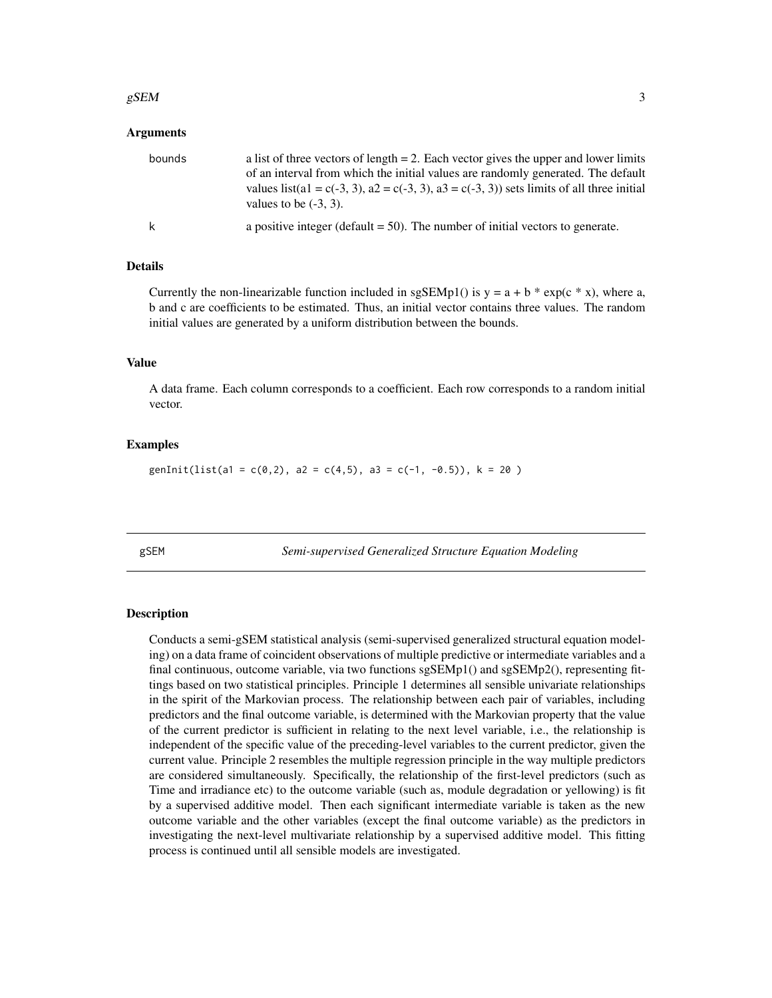#### <span id="page-2-0"></span> $gSEM$  3

#### Arguments

| bounds | a list of three vectors of length $= 2$ . Each vector gives the upper and lower limits<br>of an interval from which the initial values are randomly generated. The default<br>values list(a1 = c(-3, 3), a2 = c(-3, 3), a3 = c(-3, 3)) sets limits of all three initial<br>values to be $(-3, 3)$ . |
|--------|-----------------------------------------------------------------------------------------------------------------------------------------------------------------------------------------------------------------------------------------------------------------------------------------------------|
| k      | a positive integer (default $= 50$ ). The number of initial vectors to generate.                                                                                                                                                                                                                    |

## Details

Currently the non-linearizable function included in sgSEMp1() is  $y = a + b * exp(c * x)$ , where a, b and c are coefficients to be estimated. Thus, an initial vector contains three values. The random initial values are generated by a uniform distribution between the bounds.

#### Value

A data frame. Each column corresponds to a coefficient. Each row corresponds to a random initial vector.

## Examples

genInit(list(a1 = c(0,2), a2 = c(4,5), a3 = c(-1, -0.5)), k = 20)

gSEM *Semi-supervised Generalized Structure Equation Modeling*

#### **Description**

Conducts a semi-gSEM statistical analysis (semi-supervised generalized structural equation modeling) on a data frame of coincident observations of multiple predictive or intermediate variables and a final continuous, outcome variable, via two functions sgSEMp1() and sgSEMp2(), representing fittings based on two statistical principles. Principle 1 determines all sensible univariate relationships in the spirit of the Markovian process. The relationship between each pair of variables, including predictors and the final outcome variable, is determined with the Markovian property that the value of the current predictor is sufficient in relating to the next level variable, i.e., the relationship is independent of the specific value of the preceding-level variables to the current predictor, given the current value. Principle 2 resembles the multiple regression principle in the way multiple predictors are considered simultaneously. Specifically, the relationship of the first-level predictors (such as Time and irradiance etc) to the outcome variable (such as, module degradation or yellowing) is fit by a supervised additive model. Then each significant intermediate variable is taken as the new outcome variable and the other variables (except the final outcome variable) as the predictors in investigating the next-level multivariate relationship by a supervised additive model. This fitting process is continued until all sensible models are investigated.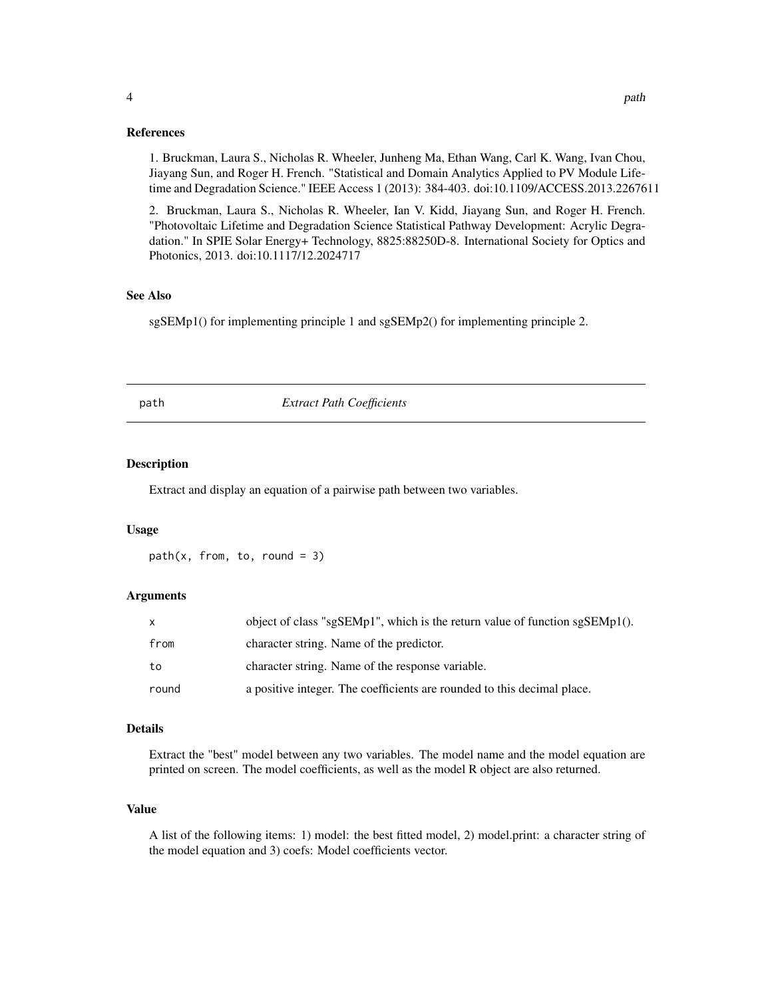#### References

1. Bruckman, Laura S., Nicholas R. Wheeler, Junheng Ma, Ethan Wang, Carl K. Wang, Ivan Chou, Jiayang Sun, and Roger H. French. "Statistical and Domain Analytics Applied to PV Module Lifetime and Degradation Science." IEEE Access 1 (2013): 384-403. doi:10.1109/ACCESS.2013.2267611

2. Bruckman, Laura S., Nicholas R. Wheeler, Ian V. Kidd, Jiayang Sun, and Roger H. French. "Photovoltaic Lifetime and Degradation Science Statistical Pathway Development: Acrylic Degradation." In SPIE Solar Energy+ Technology, 8825:88250D-8. International Society for Optics and Photonics, 2013. doi:10.1117/12.2024717

## See Also

sgSEMp1() for implementing principle 1 and sgSEMp2() for implementing principle 2.

path *Extract Path Coefficients*

## Description

Extract and display an equation of a pairwise path between two variables.

#### Usage

 $path(x, from, to, round = 3)$ 

#### Arguments

| $\mathsf{x}$ | object of class "sgSEMp1", which is the return value of function sgSEMp1(). |
|--------------|-----------------------------------------------------------------------------|
| from         | character string. Name of the predictor.                                    |
| to           | character string. Name of the response variable.                            |
| round        | a positive integer. The coefficients are rounded to this decimal place.     |

## Details

Extract the "best" model between any two variables. The model name and the model equation are printed on screen. The model coefficients, as well as the model R object are also returned.

## Value

A list of the following items: 1) model: the best fitted model, 2) model.print: a character string of the model equation and 3) coefs: Model coefficients vector.

<span id="page-3-0"></span>4 path  $\blacksquare$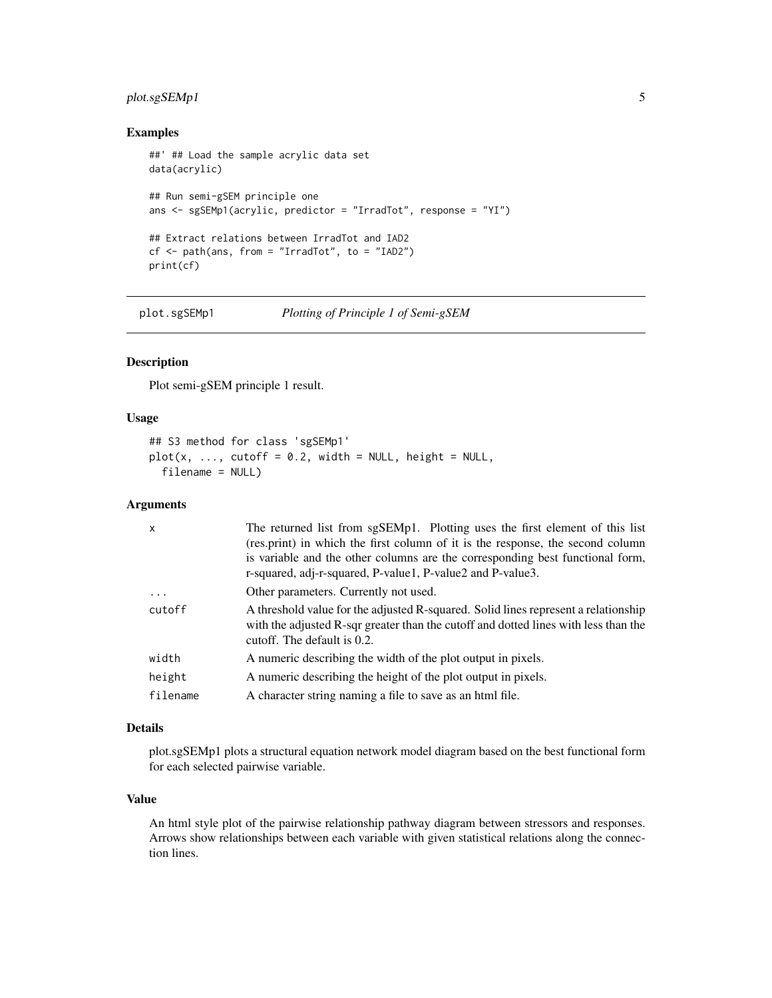## <span id="page-4-0"></span>plot.sgSEMp1 5

#### Examples

```
##' ## Load the sample acrylic data set
data(acrylic)
## Run semi-gSEM principle one
ans <- sgSEMp1(acrylic, predictor = "IrradTot", response = "YI")
## Extract relations between IrradTot and IAD2
cf <- path(ans, from = "IrradTot", to = "IAD2")
print(cf)
```
plot.sgSEMp1 *Plotting of Principle 1 of Semi-gSEM*

## Description

Plot semi-gSEM principle 1 result.

## Usage

```
## S3 method for class 'sgSEMp1'
plot(x, ..., cutoff = 0.2, width = NULL, height = NULL,filename = NULL)
```
#### Arguments

| $\mathsf{x}$ | The returned list from sgSEMp1. Plotting uses the first element of this list<br>(res.print) in which the first column of it is the response, the second column<br>is variable and the other columns are the corresponding best functional form,<br>r-squared, adj-r-squared, P-value1, P-value2 and P-value3. |
|--------------|---------------------------------------------------------------------------------------------------------------------------------------------------------------------------------------------------------------------------------------------------------------------------------------------------------------|
| $\cdot$      | Other parameters. Currently not used.                                                                                                                                                                                                                                                                         |
| cutoff       | A threshold value for the adjusted R-squared. Solid lines represent a relationship<br>with the adjusted R-sqr greater than the cutoff and dotted lines with less than the<br>cutoff. The default is 0.2.                                                                                                      |
| width        | A numeric describing the width of the plot output in pixels.                                                                                                                                                                                                                                                  |
| height       | A numeric describing the height of the plot output in pixels.                                                                                                                                                                                                                                                 |
| filename     | A character string naming a file to save as an html file.                                                                                                                                                                                                                                                     |

## Details

plot.sgSEMp1 plots a structural equation network model diagram based on the best functional form for each selected pairwise variable.

#### Value

An html style plot of the pairwise relationship pathway diagram between stressors and responses. Arrows show relationships between each variable with given statistical relations along the connection lines.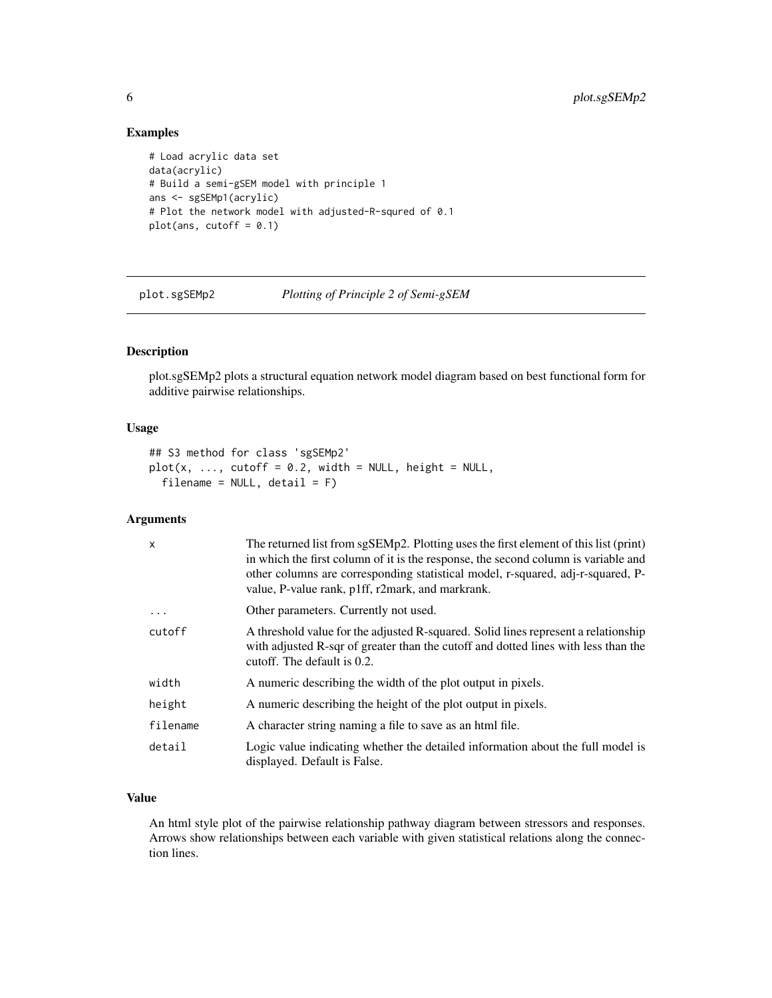## Examples

```
# Load acrylic data set
data(acrylic)
# Build a semi-gSEM model with principle 1
ans <- sgSEMp1(acrylic)
# Plot the network model with adjusted-R-squred of 0.1
plot(ans, cutoff = 0.1)
```
plot.sgSEMp2 *Plotting of Principle 2 of Semi-gSEM*

#### Description

plot.sgSEMp2 plots a structural equation network model diagram based on best functional form for additive pairwise relationships.

#### Usage

```
## S3 method for class 'sgSEMp2'
plot(x, ..., cutoff = 0.2, width = NULL, height = NULL,filename = NULL, detail = F)
```
## Arguments

| $\mathsf{x}$ | The returned list from sgSEMp2. Plotting uses the first element of this list (print)<br>in which the first column of it is the response, the second column is variable and<br>other columns are corresponding statistical model, r-squared, adj-r-squared, P-<br>value, P-value rank, p1ff, r2mark, and markrank. |
|--------------|-------------------------------------------------------------------------------------------------------------------------------------------------------------------------------------------------------------------------------------------------------------------------------------------------------------------|
| $\ddots$     | Other parameters. Currently not used.                                                                                                                                                                                                                                                                             |
| cutoff       | A threshold value for the adjusted R-squared. Solid lines represent a relationship<br>with adjusted R-sqr of greater than the cutoff and dotted lines with less than the<br>cutoff. The default is 0.2.                                                                                                           |
| width        | A numeric describing the width of the plot output in pixels.                                                                                                                                                                                                                                                      |
| height       | A numeric describing the height of the plot output in pixels.                                                                                                                                                                                                                                                     |
| filename     | A character string naming a file to save as an html file.                                                                                                                                                                                                                                                         |
| detail       | Logic value indicating whether the detailed information about the full model is<br>displayed. Default is False.                                                                                                                                                                                                   |

## Value

An html style plot of the pairwise relationship pathway diagram between stressors and responses. Arrows show relationships between each variable with given statistical relations along the connection lines.

<span id="page-5-0"></span>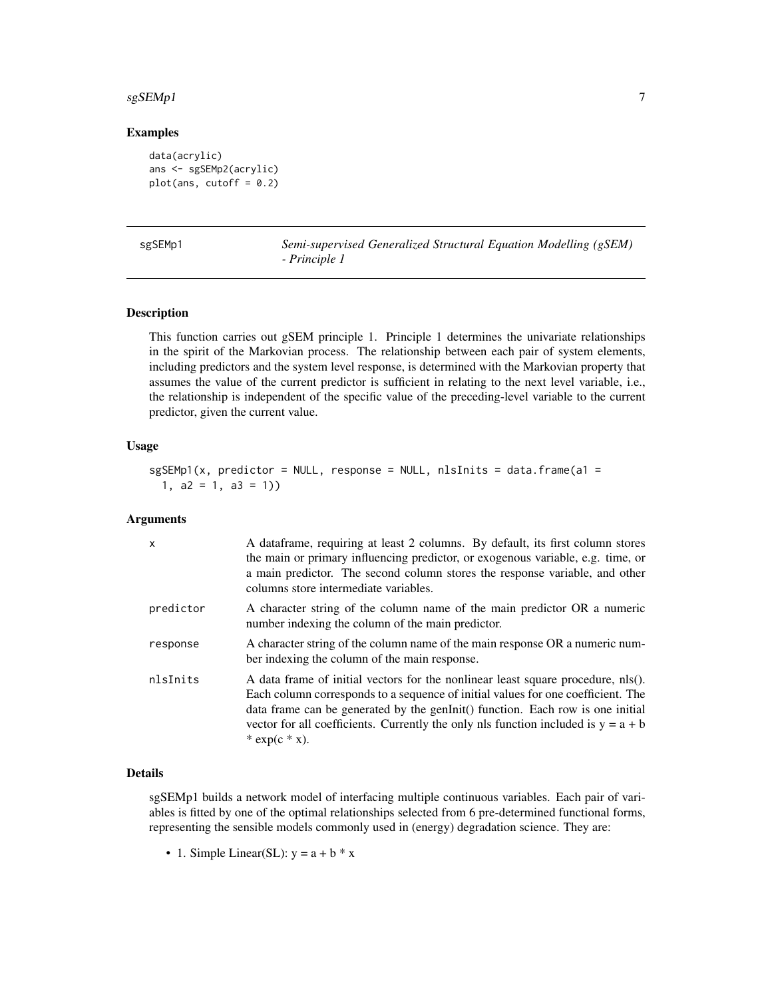#### <span id="page-6-0"></span> $s$ gSEMp1 7

## Examples

```
data(acrylic)
ans <- sgSEMp2(acrylic)
plot(ans, cutoff = 0.2)
```
sgSEMp1 *Semi-supervised Generalized Structural Equation Modelling (gSEM) - Principle 1*

## **Description**

This function carries out gSEM principle 1. Principle 1 determines the univariate relationships in the spirit of the Markovian process. The relationship between each pair of system elements, including predictors and the system level response, is determined with the Markovian property that assumes the value of the current predictor is sufficient in relating to the next level variable, i.e., the relationship is independent of the specific value of the preceding-level variable to the current predictor, given the current value.

#### Usage

```
sgSEMp1(x, predictor = NULL, response = NULL, nlsInits = data.frame(a1 =
 1, a2 = 1, a3 = 1)
```
## Arguments

| $\mathsf{x}$ | A dataframe, requiring at least 2 columns. By default, its first column stores<br>the main or primary influencing predictor, or exogenous variable, e.g. time, or<br>a main predictor. The second column stores the response variable, and other<br>columns store intermediate variables.                                                                           |
|--------------|---------------------------------------------------------------------------------------------------------------------------------------------------------------------------------------------------------------------------------------------------------------------------------------------------------------------------------------------------------------------|
| predictor    | A character string of the column name of the main predictor OR a numeric<br>number indexing the column of the main predictor.                                                                                                                                                                                                                                       |
| response     | A character string of the column name of the main response OR a numeric num-<br>ber indexing the column of the main response.                                                                                                                                                                                                                                       |
| nlsInits     | A data frame of initial vectors for the nonlinear least square procedure, nls().<br>Each column corresponds to a sequence of initial values for one coefficient. The<br>data frame can be generated by the genInit() function. Each row is one initial<br>vector for all coefficients. Currently the only nls function included is $y = a + b$<br>$*$ exp(c $*$ x). |

## Details

sgSEMp1 builds a network model of interfacing multiple continuous variables. Each pair of variables is fitted by one of the optimal relationships selected from 6 pre-determined functional forms, representing the sensible models commonly used in (energy) degradation science. They are:

• 1. Simple Linear(SL):  $y = a + b * x$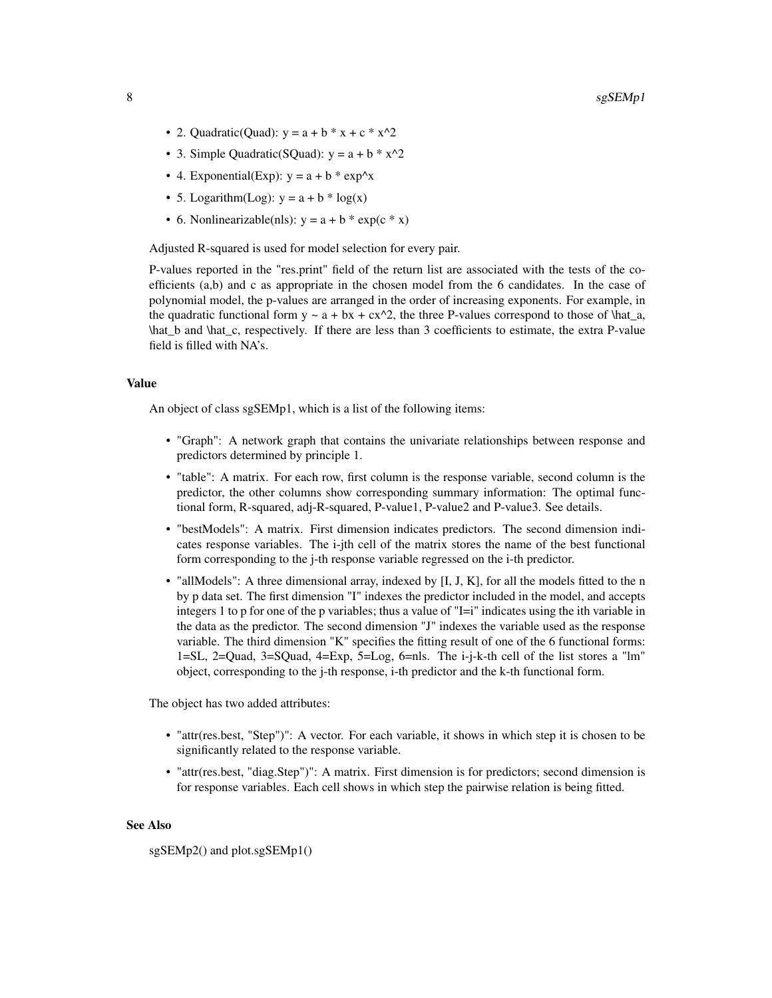- 2. Quadratic(Quad):  $y = a + b * x + c * x^2$
- 3. Simple Quadratic(SQuad):  $y = a + b * x^2$
- 4. Exponential(Exp):  $y = a + b * exp^x$
- 5. Logarithm(Log):  $y = a + b * log(x)$
- 6. Nonlinearizable(nls):  $y = a + b * exp(c * x)$

Adjusted R-squared is used for model selection for every pair.

P-values reported in the "res.print" field of the return list are associated with the tests of the coefficients (a,b) and c as appropriate in the chosen model from the 6 candidates. In the case of polynomial model, the p-values are arranged in the order of increasing exponents. For example, in the quadratic functional form  $y \sim a + bx + cx^2$ , the three P-values correspond to those of \hat\_a, \hat\_b and \hat\_c, respectively. If there are less than 3 coefficients to estimate, the extra P-value field is filled with NA's.

## Value

An object of class sgSEMp1, which is a list of the following items:

- "Graph": A network graph that contains the univariate relationships between response and predictors determined by principle 1.
- "table": A matrix. For each row, first column is the response variable, second column is the predictor, the other columns show corresponding summary information: The optimal functional form, R-squared, adj-R-squared, P-value1, P-value2 and P-value3. See details.
- "bestModels": A matrix. First dimension indicates predictors. The second dimension indicates response variables. The i-jth cell of the matrix stores the name of the best functional form corresponding to the j-th response variable regressed on the i-th predictor.
- "allModels": A three dimensional array, indexed by [I, J, K], for all the models fitted to the n by p data set. The first dimension "I" indexes the predictor included in the model, and accepts integers 1 to p for one of the p variables; thus a value of "I=i" indicates using the ith variable in the data as the predictor. The second dimension "J" indexes the variable used as the response variable. The third dimension "K" specifies the fitting result of one of the 6 functional forms: 1=SL, 2=Quad, 3=SQuad, 4=Exp, 5=Log, 6=nls. The i-j-k-th cell of the list stores a "lm" object, corresponding to the j-th response, i-th predictor and the k-th functional form.

The object has two added attributes:

- "attr(res.best, "Step")": A vector. For each variable, it shows in which step it is chosen to be significantly related to the response variable.
- "attr(res.best, "diag.Step")": A matrix. First dimension is for predictors; second dimension is for response variables. Each cell shows in which step the pairwise relation is being fitted.

#### See Also

sgSEMp2() and plot.sgSEMp1()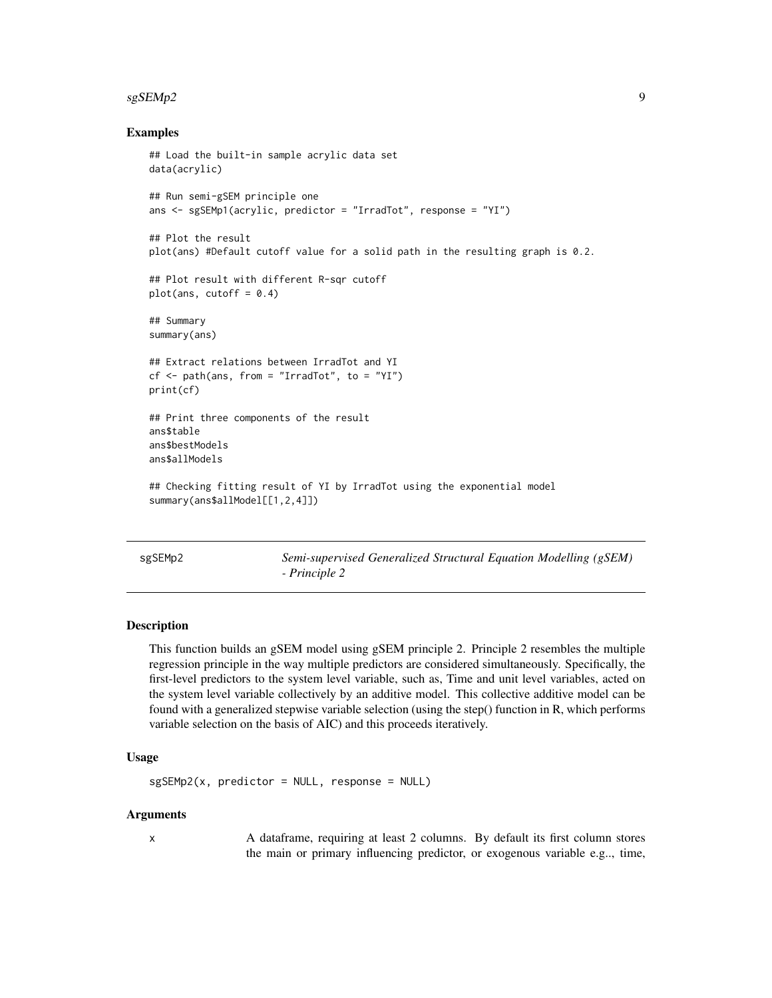#### <span id="page-8-0"></span> $s$ gSEMp2 9

#### Examples

```
## Load the built-in sample acrylic data set
data(acrylic)
## Run semi-gSEM principle one
ans \leq sgSEMp1(acrylic, predictor = "IrradTot", response = "YI")
## Plot the result
plot(ans) #Default cutoff value for a solid path in the resulting graph is 0.2.
## Plot result with different R-sqr cutoff
plot(ans, cutoff = 0.4)## Summary
summary(ans)
## Extract relations between IrradTot and YI
cf \leq path(ans, from = "IrradTot", to = "YI")
print(cf)
## Print three components of the result
ans$table
ans$bestModels
ans$allModels
## Checking fitting result of YI by IrradTot using the exponential model
summary(ans$allModel[[1,2,4]])
```
sgSEMp2 *Semi-supervised Generalized Structural Equation Modelling (gSEM) - Principle 2*

#### **Description**

This function builds an gSEM model using gSEM principle 2. Principle 2 resembles the multiple regression principle in the way multiple predictors are considered simultaneously. Specifically, the first-level predictors to the system level variable, such as, Time and unit level variables, acted on the system level variable collectively by an additive model. This collective additive model can be found with a generalized stepwise variable selection (using the step() function in R, which performs variable selection on the basis of AIC) and this proceeds iteratively.

## Usage

```
sgSEMP2(x, predictor = NULL, response = NULL)
```
#### Arguments

x A dataframe, requiring at least 2 columns. By default its first column stores the main or primary influencing predictor, or exogenous variable e.g.., time,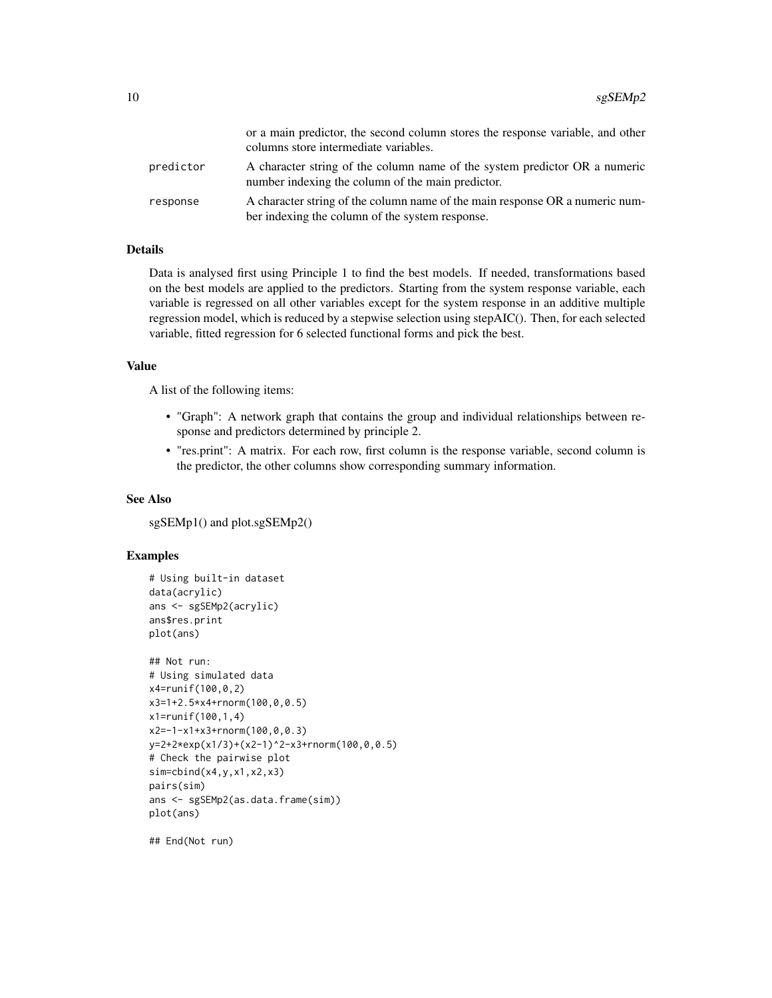|           | or a main predictor, the second column stores the response variable, and other<br>columns store intermediate variables.         |
|-----------|---------------------------------------------------------------------------------------------------------------------------------|
| predictor | A character string of the column name of the system predictor OR a numeric<br>number indexing the column of the main predictor. |
| response  | A character string of the column name of the main response OR a numeric num-<br>ber indexing the column of the system response. |

## Details

Data is analysed first using Principle 1 to find the best models. If needed, transformations based on the best models are applied to the predictors. Starting from the system response variable, each variable is regressed on all other variables except for the system response in an additive multiple regression model, which is reduced by a stepwise selection using stepAIC(). Then, for each selected variable, fitted regression for 6 selected functional forms and pick the best.

## Value

A list of the following items:

- "Graph": A network graph that contains the group and individual relationships between response and predictors determined by principle 2.
- "res.print": A matrix. For each row, first column is the response variable, second column is the predictor, the other columns show corresponding summary information.

#### See Also

sgSEMp1() and plot.sgSEMp2()

#### Examples

```
# Using built-in dataset
data(acrylic)
ans <- sgSEMp2(acrylic)
ans$res.print
plot(ans)
## Not run:
# Using simulated data
x4=runif(100,0,2)
x3=1+2.5*x4+rnorm(100,0,0.5)
x1=runif(100,1,4)
x2=-1-x1+x3+rnorm(100,0,0.3)
y=2+2*exp(x1/3)+(x2-1)^2-x3+rnorm(100,0,0.5)
# Check the pairwise plot
sim=cbind(x4,y,x1,x2,x3)
pairs(sim)
ans <- sgSEMp2(as.data.frame(sim))
plot(ans)
```
## End(Not run)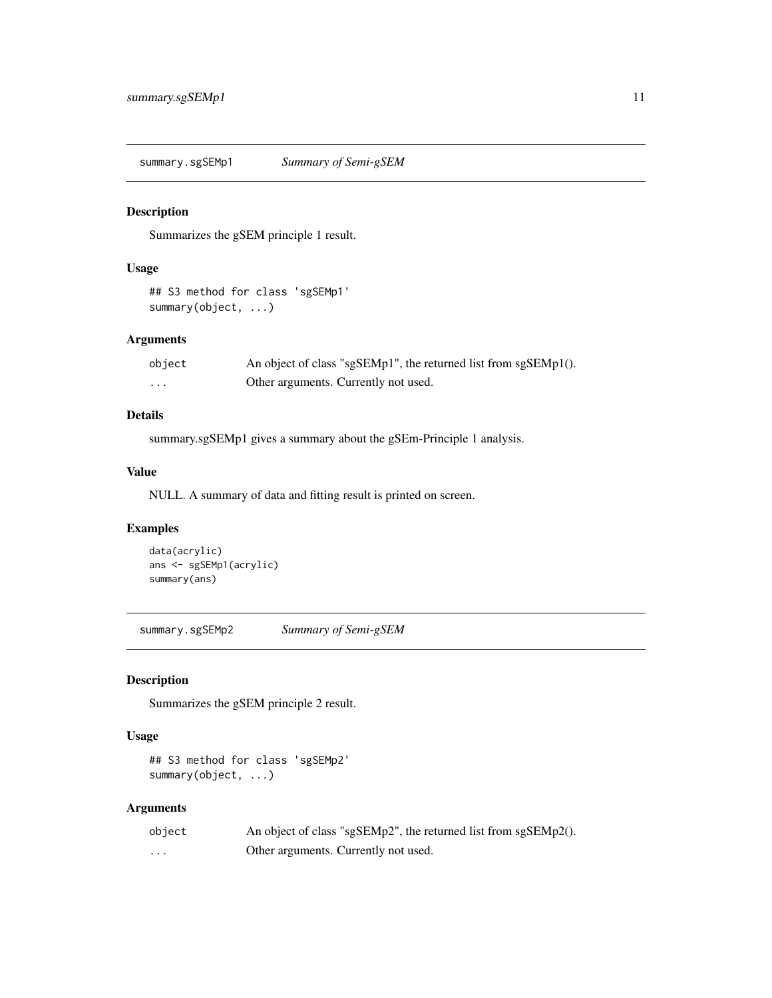<span id="page-10-0"></span>summary.sgSEMp1 *Summary of Semi-gSEM*

## Description

Summarizes the gSEM principle 1 result.

#### Usage

```
## S3 method for class 'sgSEMp1'
summary(object, ...)
```
## Arguments

| object | An object of class "sgSEMp1", the returned list from sgSEMp1(). |
|--------|-----------------------------------------------------------------|
| .      | Other arguments. Currently not used.                            |

## Details

summary.sgSEMp1 gives a summary about the gSEm-Principle 1 analysis.

## Value

NULL. A summary of data and fitting result is printed on screen.

## Examples

```
data(acrylic)
ans <- sgSEMp1(acrylic)
summary(ans)
```
summary.sgSEMp2 *Summary of Semi-gSEM*

## Description

Summarizes the gSEM principle 2 result.

## Usage

## S3 method for class 'sgSEMp2' summary(object, ...)

## Arguments

| object   | An object of class "sgSEMp2", the returned list from sgSEMp2(). |
|----------|-----------------------------------------------------------------|
| $\cdots$ | Other arguments. Currently not used.                            |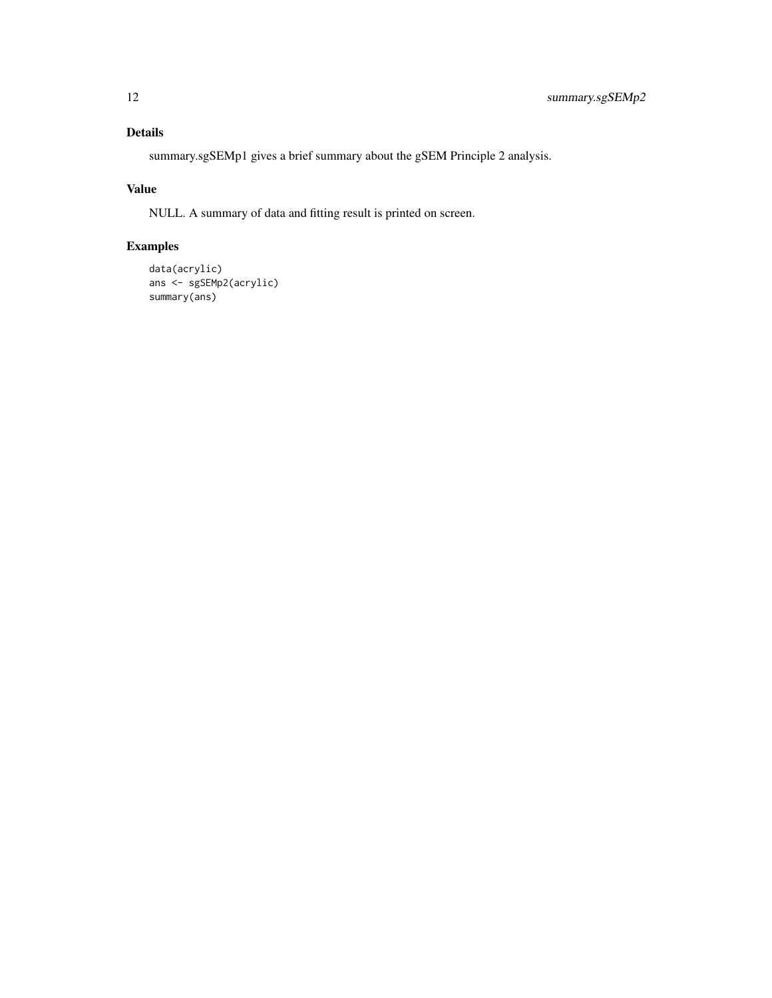## Details

summary.sgSEMp1 gives a brief summary about the gSEM Principle 2 analysis.

## Value

NULL. A summary of data and fitting result is printed on screen.

## Examples

```
data(acrylic)
ans <- sgSEMp2(acrylic)
summary(ans)
```